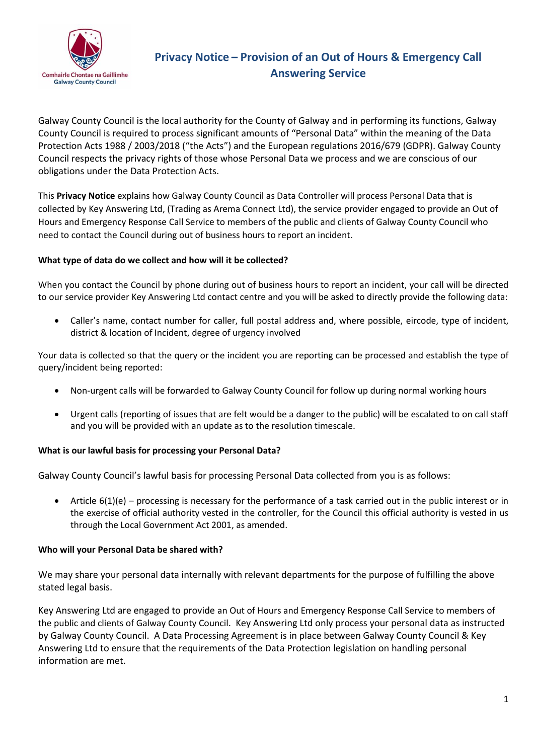

# **Privacy Notice – Provision of an Out of Hours & Emergency Call Answering Service**

Galway County Council is the local authority for the County of Galway and in performing its functions, Galway County Council is required to process significant amounts of "Personal Data" within the meaning of the Data Protection Acts 1988 / 2003/2018 ("the Acts") and the European regulations 2016/679 (GDPR). Galway County Council respects the privacy rights of those whose Personal Data we process and we are conscious of our obligations under the Data Protection Acts.

This **Privacy Notice** explains how Galway County Council as Data Controller will process Personal Data that is collected by Key Answering Ltd, (Trading as Arema Connect Ltd), the service provider engaged to provide an Out of Hours and Emergency Response Call Service to members of the public and clients of Galway County Council who need to contact the Council during out of business hours to report an incident.

# **What type of data do we collect and how will it be collected?**

When you contact the Council by phone during out of business hours to report an incident, your call will be directed to our service provider Key Answering Ltd contact centre and you will be asked to directly provide the following data:

• Caller's name, contact number for caller, full postal address and, where possible, eircode, type of incident, district & location of Incident, degree of urgency involved

Your data is collected so that the query or the incident you are reporting can be processed and establish the type of query/incident being reported:

- Non-urgent calls will be forwarded to Galway County Council for follow up during normal working hours
- Urgent calls (reporting of issues that are felt would be a danger to the public) will be escalated to on call staff and you will be provided with an update as to the resolution timescale.

### **What is our lawful basis for processing your Personal Data?**

Galway County Council's lawful basis for processing Personal Data collected from you is as follows:

Article  $6(1)(e)$  – processing is necessary for the performance of a task carried out in the public interest or in the exercise of official authority vested in the controller, for the Council this official authority is vested in us through the Local Government Act 2001, as amended.

### **Who will your Personal Data be shared with?**

We may share your personal data internally with relevant departments for the purpose of fulfilling the above stated legal basis.

Key Answering Ltd are engaged to provide an Out of Hours and Emergency Response Call Service to members of the public and clients of Galway County Council. Key Answering Ltd only process your personal data as instructed by Galway County Council. A Data Processing Agreement is in place between Galway County Council & Key Answering Ltd to ensure that the requirements of the Data Protection legislation on handling personal information are met.